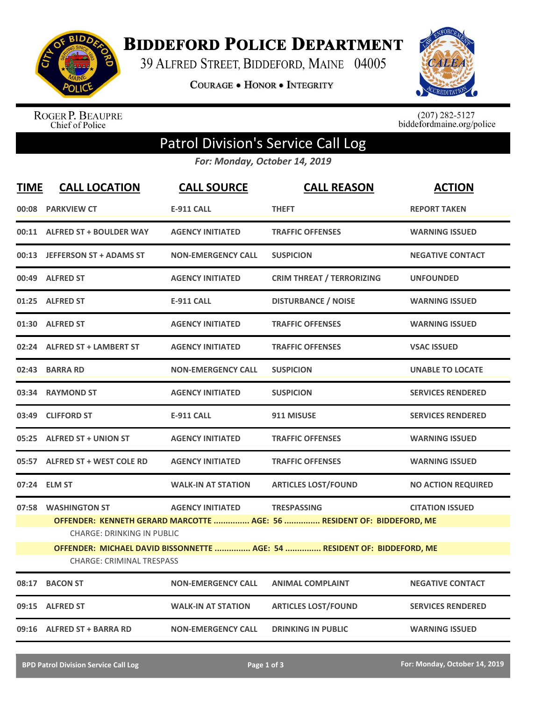

**BIDDEFORD POLICE DEPARTMENT** 

39 ALFRED STREET, BIDDEFORD, MAINE 04005

**COURAGE . HONOR . INTEGRITY** 



ROGER P. BEAUPRE<br>Chief of Police

 $(207)$  282-5127<br>biddefordmaine.org/police

## Patrol Division's Service Call Log

*For: Monday, October 14, 2019*

| <b>TIME</b> | <b>CALL LOCATION</b>                                                                                         | <b>CALL SOURCE</b>        | <b>CALL REASON</b>                                                                           | <b>ACTION</b>             |  |  |
|-------------|--------------------------------------------------------------------------------------------------------------|---------------------------|----------------------------------------------------------------------------------------------|---------------------------|--|--|
|             | 00:08 PARKVIEW CT                                                                                            | <b>E-911 CALL</b>         | <b>THEFT</b>                                                                                 | <b>REPORT TAKEN</b>       |  |  |
|             | 00:11 ALFRED ST + BOULDER WAY                                                                                | <b>AGENCY INITIATED</b>   | <b>TRAFFIC OFFENSES</b>                                                                      | <b>WARNING ISSUED</b>     |  |  |
|             | 00:13 JEFFERSON ST + ADAMS ST                                                                                | <b>NON-EMERGENCY CALL</b> | <b>SUSPICION</b>                                                                             | <b>NEGATIVE CONTACT</b>   |  |  |
|             | 00:49 ALFRED ST                                                                                              | <b>AGENCY INITIATED</b>   | <b>CRIM THREAT / TERRORIZING</b>                                                             | <b>UNFOUNDED</b>          |  |  |
|             | 01:25 ALFRED ST                                                                                              | <b>E-911 CALL</b>         | <b>DISTURBANCE / NOISE</b>                                                                   | <b>WARNING ISSUED</b>     |  |  |
|             | 01:30 ALFRED ST                                                                                              | <b>AGENCY INITIATED</b>   | <b>TRAFFIC OFFENSES</b>                                                                      | <b>WARNING ISSUED</b>     |  |  |
| 02:24       | <b>ALFRED ST + LAMBERT ST</b>                                                                                | <b>AGENCY INITIATED</b>   | <b>TRAFFIC OFFENSES</b>                                                                      | <b>VSAC ISSUED</b>        |  |  |
| 02:43       | <b>BARRA RD</b>                                                                                              | <b>NON-EMERGENCY CALL</b> | <b>SUSPICION</b>                                                                             | <b>UNABLE TO LOCATE</b>   |  |  |
|             | 03:34 RAYMOND ST                                                                                             | <b>AGENCY INITIATED</b>   | <b>SUSPICION</b>                                                                             | <b>SERVICES RENDERED</b>  |  |  |
| 03:49       | <b>CLIFFORD ST</b>                                                                                           | <b>E-911 CALL</b>         | 911 MISUSE                                                                                   | <b>SERVICES RENDERED</b>  |  |  |
|             | 05:25 ALFRED ST + UNION ST                                                                                   | <b>AGENCY INITIATED</b>   | <b>TRAFFIC OFFENSES</b>                                                                      | <b>WARNING ISSUED</b>     |  |  |
| 05:57       | <b>ALFRED ST + WEST COLE RD</b>                                                                              | <b>AGENCY INITIATED</b>   | <b>TRAFFIC OFFENSES</b>                                                                      | <b>WARNING ISSUED</b>     |  |  |
| 07:24       | <b>ELM ST</b>                                                                                                | <b>WALK-IN AT STATION</b> | <b>ARTICLES LOST/FOUND</b>                                                                   | <b>NO ACTION REQUIRED</b> |  |  |
|             | 07:58 WASHINGTON ST<br><b>CHARGE: DRINKING IN PUBLIC</b>                                                     | <b>AGENCY INITIATED</b>   | <b>TRESPASSING</b><br>OFFENDER: KENNETH GERARD MARCOTTE  AGE: 56  RESIDENT OF: BIDDEFORD, ME | <b>CITATION ISSUED</b>    |  |  |
|             | OFFENDER: MICHAEL DAVID BISSONNETTE  AGE: 54  RESIDENT OF: BIDDEFORD, ME<br><b>CHARGE: CRIMINAL TRESPASS</b> |                           |                                                                                              |                           |  |  |
| 08:17       | <b>BACON ST</b>                                                                                              | <b>NON-EMERGENCY CALL</b> | <b>ANIMAL COMPLAINT</b>                                                                      | <b>NEGATIVE CONTACT</b>   |  |  |
| 09:15       | <b>ALFRED ST</b>                                                                                             | <b>WALK-IN AT STATION</b> | <b>ARTICLES LOST/FOUND</b>                                                                   | <b>SERVICES RENDERED</b>  |  |  |
|             | 09:16 ALFRED ST + BARRA RD                                                                                   | <b>NON-EMERGENCY CALL</b> | <b>DRINKING IN PUBLIC</b>                                                                    | <b>WARNING ISSUED</b>     |  |  |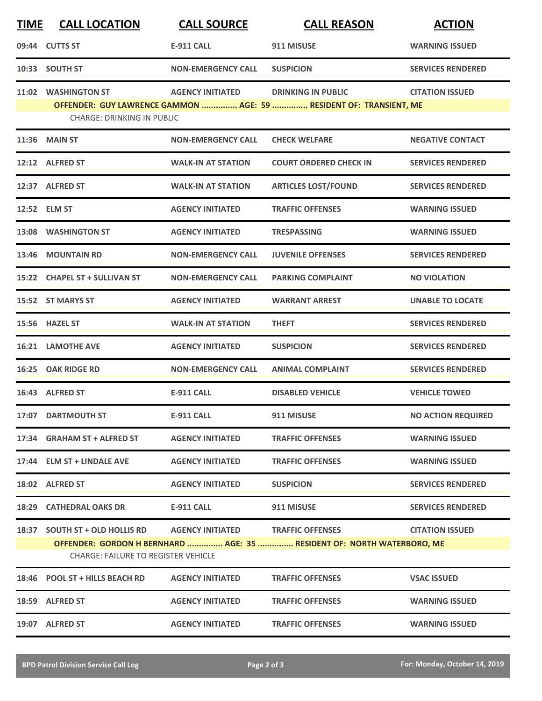| <b>TIME</b> | <b>CALL LOCATION</b>                       | <b>CALL SOURCE</b>        | <b>CALL REASON</b>                                                     | <b>ACTION</b>             |
|-------------|--------------------------------------------|---------------------------|------------------------------------------------------------------------|---------------------------|
|             | 09:44 CUTTS ST                             | <b>E-911 CALL</b>         | 911 MISUSE                                                             | <b>WARNING ISSUED</b>     |
|             | 10:33 SOUTH ST                             | <b>NON-EMERGENCY CALL</b> | <b>SUSPICION</b>                                                       | <b>SERVICES RENDERED</b>  |
|             | 11:02 WASHINGTON ST                        | <b>AGENCY INITIATED</b>   | <b>DRINKING IN PUBLIC</b>                                              | <b>CITATION ISSUED</b>    |
|             | <b>CHARGE: DRINKING IN PUBLIC</b>          |                           | OFFENDER: GUY LAWRENCE GAMMON  AGE: 59  RESIDENT OF: TRANSIENT, ME     |                           |
|             | <b>11:36 MAIN ST</b>                       | <b>NON-EMERGENCY CALL</b> | <b>CHECK WELFARE</b>                                                   | <b>NEGATIVE CONTACT</b>   |
|             | 12:12 ALFRED ST                            | <b>WALK-IN AT STATION</b> | <b>COURT ORDERED CHECK IN</b>                                          | <b>SERVICES RENDERED</b>  |
|             | 12:37 ALFRED ST                            | <b>WALK-IN AT STATION</b> | <b>ARTICLES LOST/FOUND</b>                                             | <b>SERVICES RENDERED</b>  |
|             | 12:52 ELM ST                               | <b>AGENCY INITIATED</b>   | <b>TRAFFIC OFFENSES</b>                                                | <b>WARNING ISSUED</b>     |
|             | 13:08 WASHINGTON ST                        | <b>AGENCY INITIATED</b>   | <b>TRESPASSING</b>                                                     | <b>WARNING ISSUED</b>     |
| 13:46       | <b>MOUNTAIN RD</b>                         | <b>NON-EMERGENCY CALL</b> | <b>JUVENILE OFFENSES</b>                                               | <b>SERVICES RENDERED</b>  |
|             | 15:22 CHAPEL ST + SULLIVAN ST              | <b>NON-EMERGENCY CALL</b> | <b>PARKING COMPLAINT</b>                                               | <b>NO VIOLATION</b>       |
|             | 15:52 ST MARYS ST                          | <b>AGENCY INITIATED</b>   | <b>WARRANT ARREST</b>                                                  | <b>UNABLE TO LOCATE</b>   |
|             | 15:56 HAZEL ST                             | <b>WALK-IN AT STATION</b> | <b>THEFT</b>                                                           | <b>SERVICES RENDERED</b>  |
|             | <b>16:21 LAMOTHE AVE</b>                   | <b>AGENCY INITIATED</b>   | <b>SUSPICION</b>                                                       | <b>SERVICES RENDERED</b>  |
| 16:25       | <b>OAK RIDGE RD</b>                        | <b>NON-EMERGENCY CALL</b> | <b>ANIMAL COMPLAINT</b>                                                | <b>SERVICES RENDERED</b>  |
|             | 16:43 ALFRED ST                            | <b>E-911 CALL</b>         | <b>DISABLED VEHICLE</b>                                                | <b>VEHICLE TOWED</b>      |
|             | 17:07 DARTMOUTH ST                         | <b>E-911 CALL</b>         | 911 MISUSE                                                             | <b>NO ACTION REQUIRED</b> |
|             | 17:34 GRAHAM ST + ALFRED ST                | <b>AGENCY INITIATED</b>   | <b>TRAFFIC OFFENSES</b>                                                | <b>WARNING ISSUED</b>     |
|             | 17:44 ELM ST + LINDALE AVE                 | <b>AGENCY INITIATED</b>   | <b>TRAFFIC OFFENSES</b>                                                | <b>WARNING ISSUED</b>     |
|             | 18:02 ALFRED ST                            | <b>AGENCY INITIATED</b>   | <b>SUSPICION</b>                                                       | <b>SERVICES RENDERED</b>  |
|             | 18:29 CATHEDRAL OAKS DR                    | E-911 CALL                | 911 MISUSE                                                             | <b>SERVICES RENDERED</b>  |
|             | 18:37 SOUTH ST + OLD HOLLIS RD             | <b>AGENCY INITIATED</b>   | <b>TRAFFIC OFFENSES</b>                                                | <b>CITATION ISSUED</b>    |
|             | <b>CHARGE: FAILURE TO REGISTER VEHICLE</b> |                           | OFFENDER: GORDON H BERNHARD  AGE: 35  RESIDENT OF: NORTH WATERBORO, ME |                           |
|             | 18:46 POOL ST + HILLS BEACH RD             | <b>AGENCY INITIATED</b>   | <b>TRAFFIC OFFENSES</b>                                                | <b>VSAC ISSUED</b>        |
|             | 18:59 ALFRED ST                            | <b>AGENCY INITIATED</b>   | <b>TRAFFIC OFFENSES</b>                                                | <b>WARNING ISSUED</b>     |
|             | 19:07 ALFRED ST                            | <b>AGENCY INITIATED</b>   | <b>TRAFFIC OFFENSES</b>                                                | <b>WARNING ISSUED</b>     |